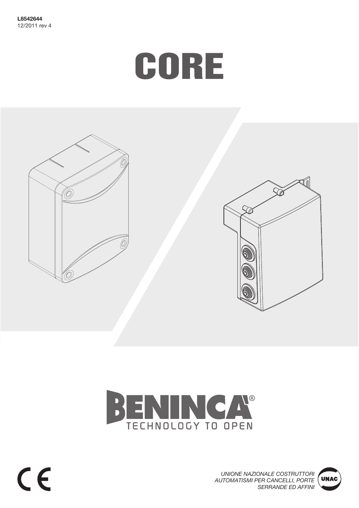# CORE









 $c \in$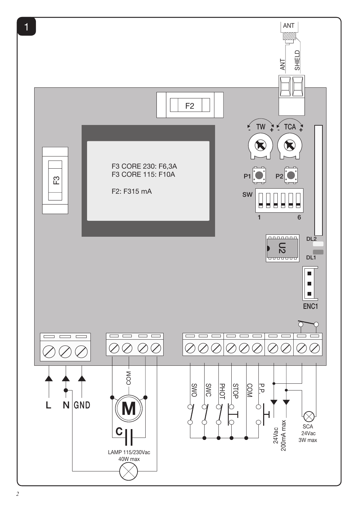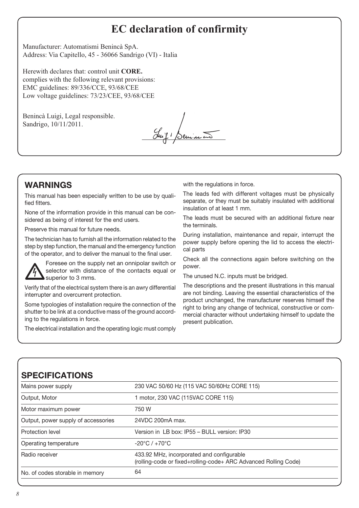# **EC declaration of confirmity**

Manufacturer: Automatismi Benincà SpA. Address: Via Capitello, 45 - 36066 Sandrigo (VI) - Italia

Herewith declares that: control unit **CORE.** complies with the following relevant provisions: EMC guidelines: 89/336/CCE, 93/68/CEE Low voltage guidelines: 73/23/CEE, 93/68/CEE

Benincà Luigi, Legal responsible. Sandrigo, 10/11/2011.

Juif Benincon

# WARNINGS

This manual has been especially written to be use by qualified fitters.

None of the information provide in this manual can be considered as being of interest for the end users.

Preserve this manual for future needs.

The technician has to furnish all the information related to the step by step function, the manual and the emergency function of the operator, and to deliver the manual to the final user.



Foresee on the supply net an onnipolar switch or selector with distance of the contacts equal or superior to 3 mms.

Verify that of the electrical system there is an awry differential interrupter and overcurrent protection.

Some typologies of installation require the connection of the shutter to be link at a conductive mass of the ground according to the regulations in force.

The electrical installation and the operating logic must comply

with the regulations in force.

The leads fed with different voltages must be physically separate, or they must be suitably insulated with additional insulation of at least 1 mm.

The leads must be secured with an additional fixture near the terminals.

During installation, maintenance and repair, interrupt the power supply before opening the lid to access the electrical parts

Check all the connections again before switching on the power.

The unused N.C. inputs must be bridged.

The descriptions and the present illustrations in this manual are not binding. Leaving the essential characteristics of the product unchanged, the manufacturer reserves himself the right to bring any change of technical, constructive or commercial character without undertaking himself to update the present publication.

# SPECIFICATIONS

| Mains power supply                                  | 230 VAC 50/60 Hz (115 VAC 50/60Hz CORE 115)                                                                  |  |
|-----------------------------------------------------|--------------------------------------------------------------------------------------------------------------|--|
| Output, Motor<br>1 motor, 230 VAC (115VAC CORE 115) |                                                                                                              |  |
| Motor maximum power                                 | 750 W                                                                                                        |  |
| Output, power supply of accessories                 | 24VDC 200mA max.                                                                                             |  |
| Protection level                                    | Version in LB box: IP55 - BULL version: IP30                                                                 |  |
| Operating temperature                               | $-20^{\circ}$ C / $+70^{\circ}$ C                                                                            |  |
| Radio receiver                                      | 433.92 MHz, incorporated and configurable<br>(rolling-code or fixed+rolling-code+ ARC Advanced Rolling Code) |  |
| No. of codes storable in memory                     | 64                                                                                                           |  |
|                                                     |                                                                                                              |  |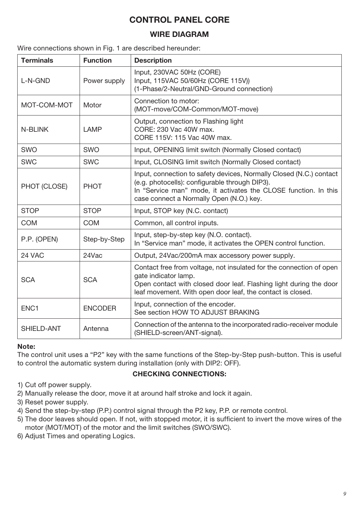# CONTROL PANEL CORE

# WIRE DIAGRAM

Wire connections shown in Fig. 1 are described hereunder:

| <b>Terminals</b> | <b>Function</b> | <b>Description</b>                                                                                                                                                                                                                   |
|------------------|-----------------|--------------------------------------------------------------------------------------------------------------------------------------------------------------------------------------------------------------------------------------|
| L-N-GND          | Power supply    | Input, 230VAC 50Hz (CORE)<br>Input, 115VAC 50/60Hz (CORE 115V))<br>(1-Phase/2-Neutral/GND-Ground connection)                                                                                                                         |
| MOT-COM-MOT      | Motor           | Connection to motor:<br>(MOT-move/COM-Common/MOT-move)                                                                                                                                                                               |
| <b>N-BLINK</b>   | LAMP            | Output, connection to Flashing light<br>CORE: 230 Vac 40W max.<br>CORE 115V: 115 Vac 40W max.                                                                                                                                        |
| <b>SWO</b>       | <b>SWO</b>      | Input, OPENING limit switch (Normally Closed contact)                                                                                                                                                                                |
| <b>SWC</b>       | <b>SWC</b>      | Input, CLOSING limit switch (Normally Closed contact)                                                                                                                                                                                |
| PHOT (CLOSE)     | <b>PHOT</b>     | Input, connection to safety devices, Normally Closed (N.C.) contact<br>(e.g. photocells): configurable through DIP3).<br>In "Service man" mode, it activates the CLOSE function. In this<br>case connect a Normally Open (N.O.) key. |
| <b>STOP</b>      | <b>STOP</b>     | Input, STOP key (N.C. contact)                                                                                                                                                                                                       |
| <b>COM</b>       | <b>COM</b>      | Common, all control inputs.                                                                                                                                                                                                          |
| P.P. (OPEN)      | Step-by-Step    | Input, step-by-step key (N.O. contact).<br>In "Service man" mode, it activates the OPEN control function.                                                                                                                            |
| 24 VAC           | 24Vac           | Output, 24Vac/200mA max accessory power supply.                                                                                                                                                                                      |
| <b>SCA</b>       | <b>SCA</b>      | Contact free from voltage, not insulated for the connection of open<br>gate indicator lamp.<br>Open contact with closed door leaf. Flashing light during the door<br>leaf movement. With open door leaf, the contact is closed.      |
| ENC <sub>1</sub> | <b>ENCODER</b>  | Input, connection of the encoder.<br>See section HOW TO ADJUST BRAKING                                                                                                                                                               |
| SHIELD-ANT       | Antenna         | Connection of the antenna to the incorporated radio-receiver module<br>(SHIELD-screen/ANT-signal).                                                                                                                                   |

#### Note:

The control unit uses a "P2" key with the same functions of the Step-by-Step push-button. This is useful to control the automatic system during installation (only with DIP2: OFF).

#### CHECKING CONNECTIONS:

- 1) Cut off power supply.
- 2) Manually release the door, move it at around half stroke and lock it again.
- 3) Reset power supply.
- 4) Send the step-by-step (P.P.) control signal through the P2 key, P.P. or remote control.
- 5) The door leaves should open. If not, with stopped motor, it is sufficient to invert the move wires of the motor (MOT/MOT) of the motor and the limit switches (SWO/SWC).
- 6) Adjust Times and operating Logics.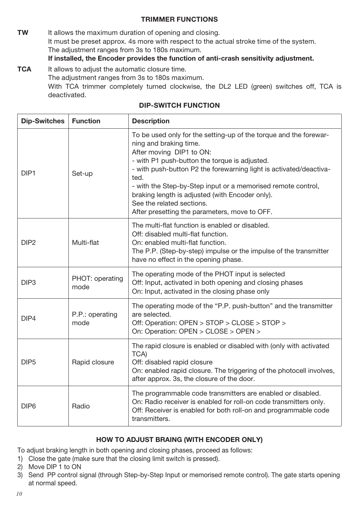#### TRIMMER FUNCTIONS

**TW** It allows the maximum duration of opening and closing. It must be preset approx. 4s more with respect to the actual stroke time of the system. The adjustment ranges from 3s to 180s maximum. If installed, the Encoder provides the function of anti-crash sensitivity adjustment.

**TCA** It allows to adjust the automatic closure time. The adjustment ranges from 3s to 180s maximum. With TCA trimmer completely turned clockwise, the DL2 LED (green) switches off, TCA is deactivated.

| <b>Dip-Switches</b> | <b>Function</b>         | <b>Description</b>                                                                                                                                                                                                                                                                                                                                                                                                                                      |
|---------------------|-------------------------|---------------------------------------------------------------------------------------------------------------------------------------------------------------------------------------------------------------------------------------------------------------------------------------------------------------------------------------------------------------------------------------------------------------------------------------------------------|
| DIP <sub>1</sub>    | Set-up                  | To be used only for the setting-up of the torque and the forewar-<br>ning and braking time.<br>After moving DIP1 to ON:<br>- with P1 push-button the torque is adjusted.<br>- with push-button P2 the forewarning light is activated/deactiva-<br>ted.<br>- with the Step-by-Step input or a memorised remote control,<br>braking length is adjusted (with Encoder only).<br>See the related sections.<br>After presetting the parameters, move to OFF. |
| DIP <sub>2</sub>    | Multi-flat              | The multi-flat function is enabled or disabled.<br>Off: disabled multi-flat function.<br>On: enabled multi-flat function.<br>The P.P. (Step-by-step) impulse or the impulse of the transmitter<br>have no effect in the opening phase.                                                                                                                                                                                                                  |
| DIP <sub>3</sub>    | PHOT: operating<br>mode | The operating mode of the PHOT input is selected<br>Off: Input, activated in both opening and closing phases<br>On: Input, activated in the closing phase only                                                                                                                                                                                                                                                                                          |
| DIP4                | P.P.: operating<br>mode | The operating mode of the "P.P. push-button" and the transmitter<br>are selected.<br>Off: Operation: OPEN > STOP > CLOSE > STOP ><br>On: Operation: OPEN > CLOSE > OPEN >                                                                                                                                                                                                                                                                               |
| DIP <sub>5</sub>    | Rapid closure           | The rapid closure is enabled or disabled with (only with activated<br>TCA)<br>Off: disabled rapid closure<br>On: enabled rapid closure. The triggering of the photocell involves,<br>after approx. 3s, the closure of the door.                                                                                                                                                                                                                         |
| DIP <sub>6</sub>    | Radio                   | The programmable code transmitters are enabled or disabled.<br>On: Radio receiver is enabled for roll-on code transmitters only.<br>Off: Receiver is enabled for both roll-on and programmable code<br>transmitters.                                                                                                                                                                                                                                    |

#### DIP-SWITCH FUNCTION

#### HOW TO ADJUST BRAING (WITH ENCODER ONLY)

To adjust braking length in both opening and closing phases, proceed as follows:

- 1) Close the gate (make sure that the closing limit switch is pressed).
- 2) Move DIP 1 to ON
- 3) Send PP control signal (through Step-by-Step Input or memorised remote control). The gate starts opening at normal speed.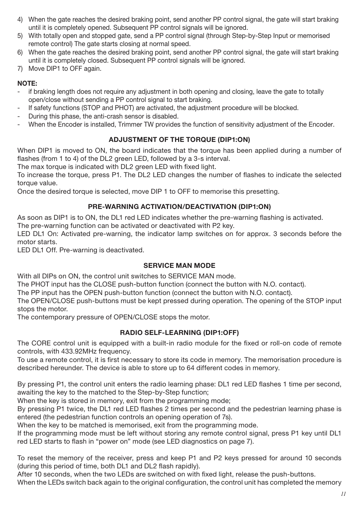- 4) When the gate reaches the desired braking point, send another PP control signal, the gate will start braking until it is completely opened. Subsequent PP control signals will be ignored.
- 5) With totally open and stopped gate, send a PP control signal (through Step-by-Step Input or memorised remote control) The gate starts closing at normal speed.
- 6) When the gate reaches the desired braking point, send another PP control signal, the gate will start braking until it is completely closed. Subsequent PP control signals will be ignored.
- 7) Move DIP1 to OFF again.

## NOTE:

- if braking length does not require any adjustment in both opening and closing, leave the gate to totally open/close without sending a PP control signal to start braking.
- If safety functions (STOP and PHOT) are activated, the adjustment procedure will be blocked.
- During this phase, the anti-crash sensor is disabled.
- When the Encoder is installed, Trimmer TW provides the function of sensitivity adjustment of the Encoder.

# ADJUSTMENT OF THE TORQUE (DIP1:ON)

When DIP1 is moved to ON, the board indicates that the torque has been applied during a number of flashes (from 1 to 4) of the DL2 green LED, followed by a 3-s interval.

The max torque is indicated with DL2 green LED with fixed light.

To increase the torque, press P1. The DL2 LED changes the number of flashes to indicate the selected torque value.

Once the desired torque is selected, move DIP 1 to OFF to memorise this presetting.

## PRE-WARNING ACTIVATION/DEACTIVATION (DIP1:ON)

As soon as DIP1 is to ON, the DL1 red LED indicates whether the pre-warning flashing is activated.

The pre-warning function can be activated or deactivated with P2 key.

LED DL1 On: Activated pre-warning, the indicator lamp switches on for approx. 3 seconds before the motor starts.

LED DL1 Off. Pre-warning is deactivated.

#### SERVICE MAN MODE

With all DIPs on ON, the control unit switches to SERVICE MAN mode.

The PHOT input has the CLOSE push-button function (connect the button with N.O. contact).

The PP input has the OPEN push-button function (connect the button with N.O. contact).

The OPEN/CLOSE push-buttons must be kept pressed during operation. The opening of the STOP input stops the motor.

The contemporary pressure of OPEN/CLOSE stops the motor.

#### RADIO SELF-LEARNING (DIP1:OFF)

The CORE control unit is equipped with a built-in radio module for the fixed or roll-on code of remote controls, with 433.92MHz frequency.

To use a remote control, it is first necessary to store its code in memory. The memorisation procedure is described hereunder. The device is able to store up to 64 different codes in memory.

By pressing P1, the control unit enters the radio learning phase: DL1 red LED flashes 1 time per second, awaiting the key to the matched to the Step-by-Step function;

When the key is stored in memory, exit from the programming mode;

By pressing P1 twice, the DL1 red LED flashes 2 times per second and the pedestrian learning phase is entered (the pedestrian function controls an opening operation of 7s).

When the key to be matched is memorised, exit from the programming mode.

If the programming mode must be left without storing any remote control signal, press P1 key until DL1 red LED starts to flash in "power on" mode (see LED diagnostics on page 7).

To reset the memory of the receiver, press and keep P1 and P2 keys pressed for around 10 seconds (during this period of time, both DL1 and DL2 flash rapidly).

After 10 seconds, when the two LEDs are switched on with fixed light, release the push-buttons.

When the LEDs switch back again to the original configuration, the control unit has completed the memory